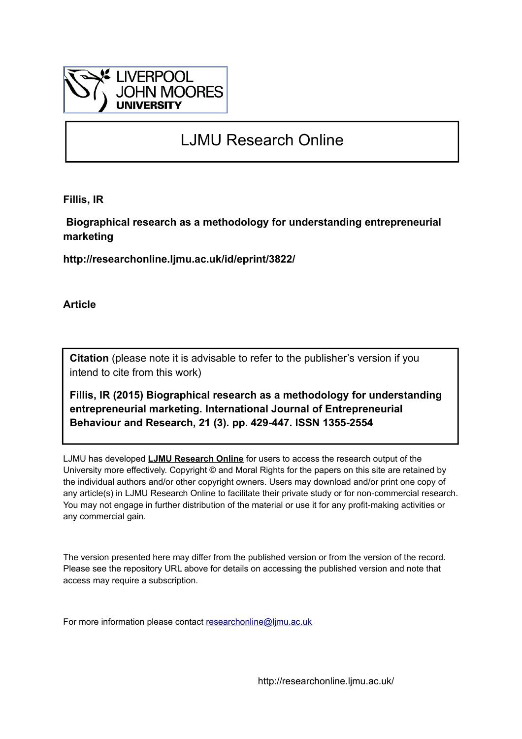

# LJMU Research Online

**Fillis, IR**

 **Biographical research as a methodology for understanding entrepreneurial marketing**

**http://researchonline.ljmu.ac.uk/id/eprint/3822/**

**Article**

**Citation** (please note it is advisable to refer to the publisher's version if you intend to cite from this work)

**Fillis, IR (2015) Biographical research as a methodology for understanding entrepreneurial marketing. International Journal of Entrepreneurial Behaviour and Research, 21 (3). pp. 429-447. ISSN 1355-2554** 

LJMU has developed **[LJMU Research Online](http://researchonline.ljmu.ac.uk/)** for users to access the research output of the University more effectively. Copyright © and Moral Rights for the papers on this site are retained by the individual authors and/or other copyright owners. Users may download and/or print one copy of any article(s) in LJMU Research Online to facilitate their private study or for non-commercial research. You may not engage in further distribution of the material or use it for any profit-making activities or any commercial gain.

The version presented here may differ from the published version or from the version of the record. Please see the repository URL above for details on accessing the published version and note that access may require a subscription.

For more information please contact [researchonline@ljmu.ac.uk](mailto:researchonline@ljmu.ac.uk)

http://researchonline.ljmu.ac.uk/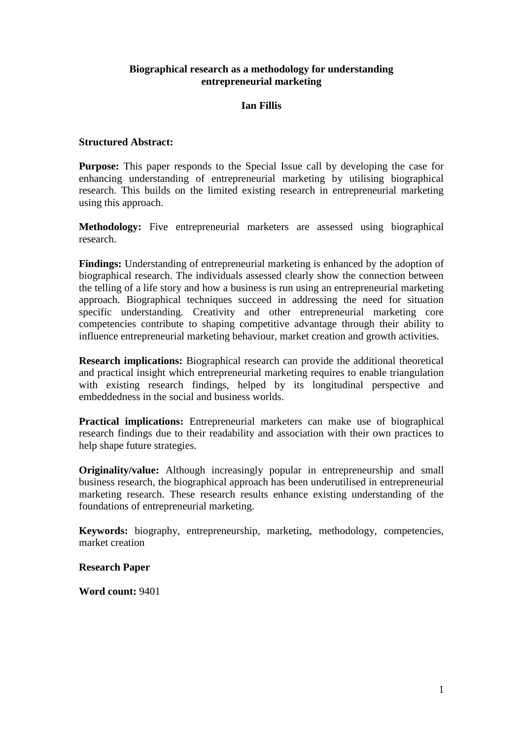# **Biographical research as a methodology for understanding entrepreneurial marketing**

# **Ian Fillis**

# **Structured Abstract:**

**Purpose:** This paper responds to the Special Issue call by developing the case for enhancing understanding of entrepreneurial marketing by utilising biographical research. This builds on the limited existing research in entrepreneurial marketing using this approach.

**Methodology:** Five entrepreneurial marketers are assessed using biographical research.

**Findings:** Understanding of entrepreneurial marketing is enhanced by the adoption of biographical research. The individuals assessed clearly show the connection between the telling of a life story and how a business is run using an entrepreneurial marketing approach. Biographical techniques succeed in addressing the need for situation specific understanding. Creativity and other entrepreneurial marketing core competencies contribute to shaping competitive advantage through their ability to influence entrepreneurial marketing behaviour, market creation and growth activities.

**Research implications:** Biographical research can provide the additional theoretical and practical insight which entrepreneurial marketing requires to enable triangulation with existing research findings, helped by its longitudinal perspective and embeddedness in the social and business worlds.

**Practical implications:** Entrepreneurial marketers can make use of biographical research findings due to their readability and association with their own practices to help shape future strategies.

**Originality/value:** Although increasingly popular in entrepreneurship and small business research, the biographical approach has been underutilised in entrepreneurial marketing research. These research results enhance existing understanding of the foundations of entrepreneurial marketing.

**Keywords:** biography, entrepreneurship, marketing, methodology, competencies, market creation

# **Research Paper**

**Word count:** 9401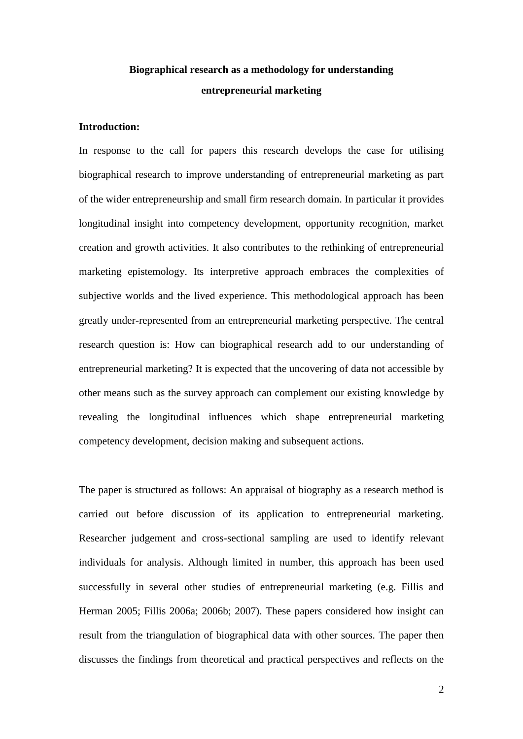# **Biographical research as a methodology for understanding entrepreneurial marketing**

# **Introduction:**

In response to the call for papers this research develops the case for utilising biographical research to improve understanding of entrepreneurial marketing as part of the wider entrepreneurship and small firm research domain. In particular it provides longitudinal insight into competency development, opportunity recognition, market creation and growth activities. It also contributes to the rethinking of entrepreneurial marketing epistemology. Its interpretive approach embraces the complexities of subjective worlds and the lived experience. This methodological approach has been greatly under-represented from an entrepreneurial marketing perspective. The central research question is: How can biographical research add to our understanding of entrepreneurial marketing? It is expected that the uncovering of data not accessible by other means such as the survey approach can complement our existing knowledge by revealing the longitudinal influences which shape entrepreneurial marketing competency development, decision making and subsequent actions.

The paper is structured as follows: An appraisal of biography as a research method is carried out before discussion of its application to entrepreneurial marketing. Researcher judgement and cross-sectional sampling are used to identify relevant individuals for analysis. Although limited in number, this approach has been used successfully in several other studies of entrepreneurial marketing (e.g. Fillis and Herman 2005; Fillis 2006a; 2006b; 2007). These papers considered how insight can result from the triangulation of biographical data with other sources. The paper then discusses the findings from theoretical and practical perspectives and reflects on the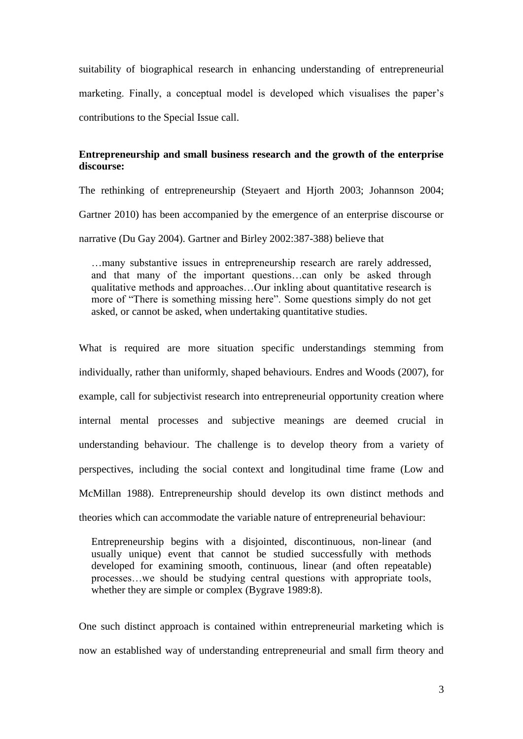suitability of biographical research in enhancing understanding of entrepreneurial marketing. Finally, a conceptual model is developed which visualises the paper's contributions to the Special Issue call.

# **Entrepreneurship and small business research and the growth of the enterprise discourse:**

The rethinking of entrepreneurship (Steyaert and Hjorth 2003; Johannson 2004; Gartner 2010) has been accompanied by the emergence of an enterprise discourse or narrative (Du Gay 2004). Gartner and Birley 2002:387-388) believe that

…many substantive issues in entrepreneurship research are rarely addressed, and that many of the important questions…can only be asked through qualitative methods and approaches…Our inkling about quantitative research is more of "There is something missing here". Some questions simply do not get asked, or cannot be asked, when undertaking quantitative studies.

What is required are more situation specific understandings stemming from individually, rather than uniformly, shaped behaviours. Endres and Woods (2007), for example, call for subjectivist research into entrepreneurial opportunity creation where internal mental processes and subjective meanings are deemed crucial in understanding behaviour. The challenge is to develop theory from a variety of perspectives, including the social context and longitudinal time frame (Low and McMillan 1988). Entrepreneurship should develop its own distinct methods and theories which can accommodate the variable nature of entrepreneurial behaviour:

Entrepreneurship begins with a disjointed, discontinuous, non-linear (and usually unique) event that cannot be studied successfully with methods developed for examining smooth, continuous, linear (and often repeatable) processes…we should be studying central questions with appropriate tools, whether they are simple or complex (Bygrave 1989:8).

One such distinct approach is contained within entrepreneurial marketing which is now an established way of understanding entrepreneurial and small firm theory and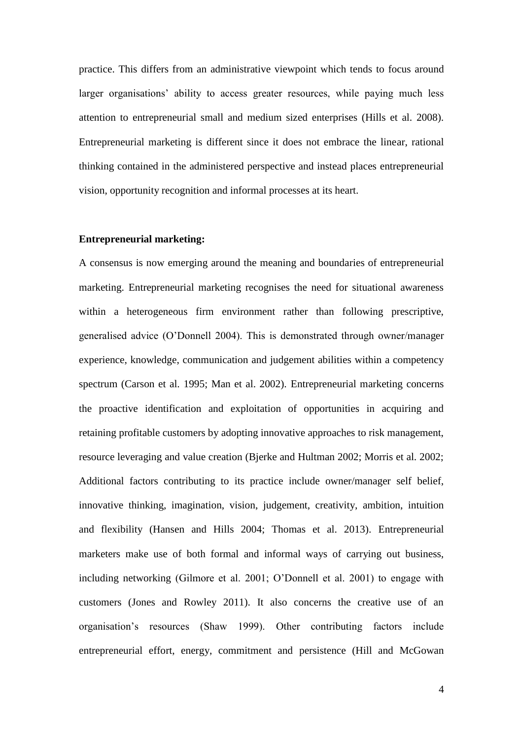practice. This differs from an administrative viewpoint which tends to focus around larger organisations' ability to access greater resources, while paying much less attention to entrepreneurial small and medium sized enterprises (Hills et al. 2008). Entrepreneurial marketing is different since it does not embrace the linear, rational thinking contained in the administered perspective and instead places entrepreneurial vision, opportunity recognition and informal processes at its heart.

## **Entrepreneurial marketing:**

A consensus is now emerging around the meaning and boundaries of entrepreneurial marketing. Entrepreneurial marketing recognises the need for situational awareness within a heterogeneous firm environment rather than following prescriptive, generalised advice (O'Donnell 2004). This is demonstrated through owner/manager experience, knowledge, communication and judgement abilities within a competency spectrum (Carson et al. 1995; Man et al. 2002). Entrepreneurial marketing concerns the proactive identification and exploitation of opportunities in acquiring and retaining profitable customers by adopting innovative approaches to risk management, resource leveraging and value creation (Bjerke and Hultman 2002; Morris et al. 2002; Additional factors contributing to its practice include owner/manager self belief, innovative thinking, imagination, vision, judgement, creativity, ambition, intuition and flexibility (Hansen and Hills 2004; Thomas et al. 2013). Entrepreneurial marketers make use of both formal and informal ways of carrying out business, including networking (Gilmore et al. 2001; O'Donnell et al. 2001) to engage with customers (Jones and Rowley 2011). It also concerns the creative use of an organisation's resources (Shaw 1999). Other contributing factors include entrepreneurial effort, energy, commitment and persistence (Hill and McGowan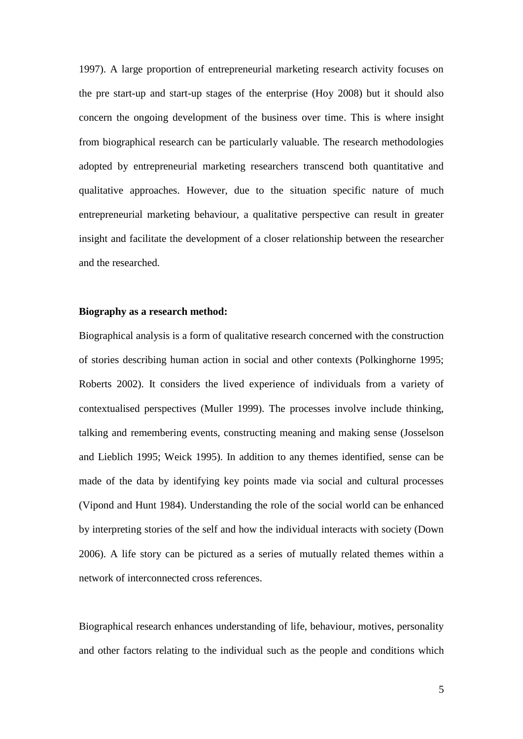1997). A large proportion of entrepreneurial marketing research activity focuses on the pre start-up and start-up stages of the enterprise (Hoy 2008) but it should also concern the ongoing development of the business over time. This is where insight from biographical research can be particularly valuable. The research methodologies adopted by entrepreneurial marketing researchers transcend both quantitative and qualitative approaches. However, due to the situation specific nature of much entrepreneurial marketing behaviour, a qualitative perspective can result in greater insight and facilitate the development of a closer relationship between the researcher and the researched.

# **Biography as a research method:**

Biographical analysis is a form of qualitative research concerned with the construction of stories describing human action in social and other contexts (Polkinghorne 1995; Roberts 2002). It considers the lived experience of individuals from a variety of contextualised perspectives (Muller 1999). The processes involve include thinking, talking and remembering events, constructing meaning and making sense (Josselson and Lieblich 1995; Weick 1995). In addition to any themes identified, sense can be made of the data by identifying key points made via social and cultural processes (Vipond and Hunt 1984). Understanding the role of the social world can be enhanced by interpreting stories of the self and how the individual interacts with society (Down 2006). A life story can be pictured as a series of mutually related themes within a network of interconnected cross references.

Biographical research enhances understanding of life, behaviour, motives, personality and other factors relating to the individual such as the people and conditions which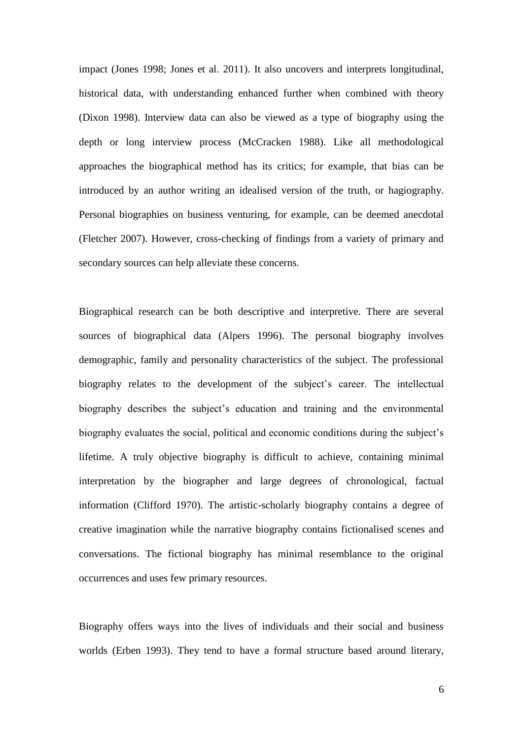impact (Jones 1998; Jones et al. 2011). It also uncovers and interprets longitudinal, historical data, with understanding enhanced further when combined with theory (Dixon 1998). Interview data can also be viewed as a type of biography using the depth or long interview process (McCracken 1988). Like all methodological approaches the biographical method has its critics; for example, that bias can be introduced by an author writing an idealised version of the truth, or hagiography. Personal biographies on business venturing, for example, can be deemed anecdotal (Fletcher 2007). However, cross-checking of findings from a variety of primary and secondary sources can help alleviate these concerns.

Biographical research can be both descriptive and interpretive. There are several sources of biographical data (Alpers 1996). The personal biography involves demographic, family and personality characteristics of the subject. The professional biography relates to the development of the subject's career. The intellectual biography describes the subject's education and training and the environmental biography evaluates the social, political and economic conditions during the subject's lifetime. A truly objective biography is difficult to achieve, containing minimal interpretation by the biographer and large degrees of chronological, factual information (Clifford 1970). The artistic-scholarly biography contains a degree of creative imagination while the narrative biography contains fictionalised scenes and conversations. The fictional biography has minimal resemblance to the original occurrences and uses few primary resources.

Biography offers ways into the lives of individuals and their social and business worlds (Erben 1993). They tend to have a formal structure based around literary,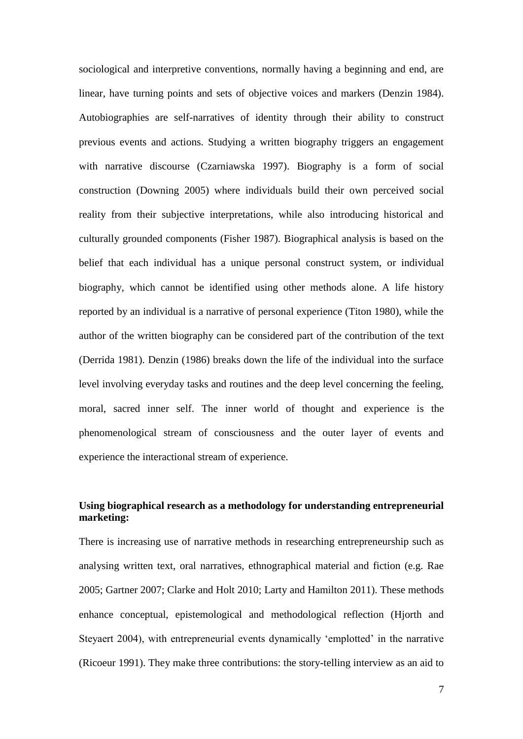sociological and interpretive conventions, normally having a beginning and end, are linear, have turning points and sets of objective voices and markers (Denzin 1984). Autobiographies are self-narratives of identity through their ability to construct previous events and actions. Studying a written biography triggers an engagement with narrative discourse (Czarniawska 1997). Biography is a form of social construction (Downing 2005) where individuals build their own perceived social reality from their subjective interpretations, while also introducing historical and culturally grounded components (Fisher 1987). Biographical analysis is based on the belief that each individual has a unique personal construct system, or individual biography, which cannot be identified using other methods alone. A life history reported by an individual is a narrative of personal experience (Titon 1980), while the author of the written biography can be considered part of the contribution of the text (Derrida 1981). Denzin (1986) breaks down the life of the individual into the surface level involving everyday tasks and routines and the deep level concerning the feeling, moral, sacred inner self. The inner world of thought and experience is the phenomenological stream of consciousness and the outer layer of events and experience the interactional stream of experience.

# **Using biographical research as a methodology for understanding entrepreneurial marketing:**

There is increasing use of narrative methods in researching entrepreneurship such as analysing written text, oral narratives, ethnographical material and fiction (e.g. Rae 2005; Gartner 2007; Clarke and Holt 2010; Larty and Hamilton 2011). These methods enhance conceptual, epistemological and methodological reflection (Hjorth and Steyaert 2004), with entrepreneurial events dynamically 'emplotted' in the narrative (Ricoeur 1991). They make three contributions: the story-telling interview as an aid to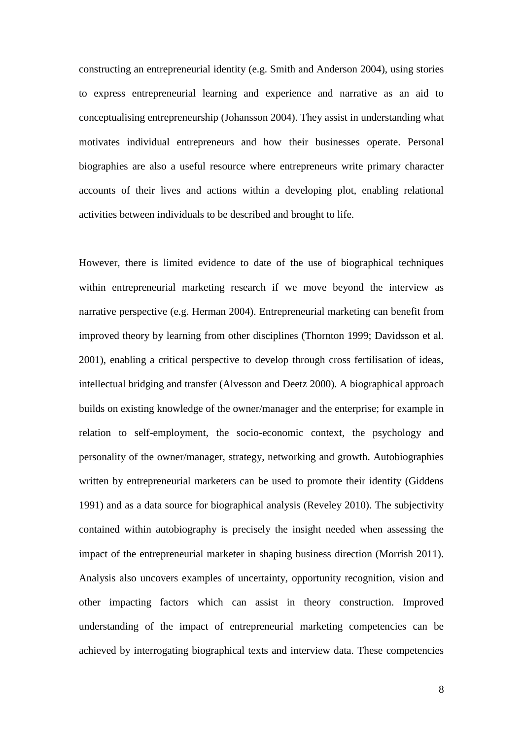constructing an entrepreneurial identity (e.g. Smith and Anderson 2004), using stories to express entrepreneurial learning and experience and narrative as an aid to conceptualising entrepreneurship (Johansson 2004). They assist in understanding what motivates individual entrepreneurs and how their businesses operate. Personal biographies are also a useful resource where entrepreneurs write primary character accounts of their lives and actions within a developing plot, enabling relational activities between individuals to be described and brought to life.

However, there is limited evidence to date of the use of biographical techniques within entrepreneurial marketing research if we move beyond the interview as narrative perspective (e.g. Herman 2004). Entrepreneurial marketing can benefit from improved theory by learning from other disciplines (Thornton 1999; Davidsson et al. 2001), enabling a critical perspective to develop through cross fertilisation of ideas, intellectual bridging and transfer (Alvesson and Deetz 2000). A biographical approach builds on existing knowledge of the owner/manager and the enterprise; for example in relation to self-employment, the socio-economic context, the psychology and personality of the owner/manager, strategy, networking and growth. Autobiographies written by entrepreneurial marketers can be used to promote their identity (Giddens 1991) and as a data source for biographical analysis (Reveley 2010). The subjectivity contained within autobiography is precisely the insight needed when assessing the impact of the entrepreneurial marketer in shaping business direction (Morrish 2011). Analysis also uncovers examples of uncertainty, opportunity recognition, vision and other impacting factors which can assist in theory construction. Improved understanding of the impact of entrepreneurial marketing competencies can be achieved by interrogating biographical texts and interview data. These competencies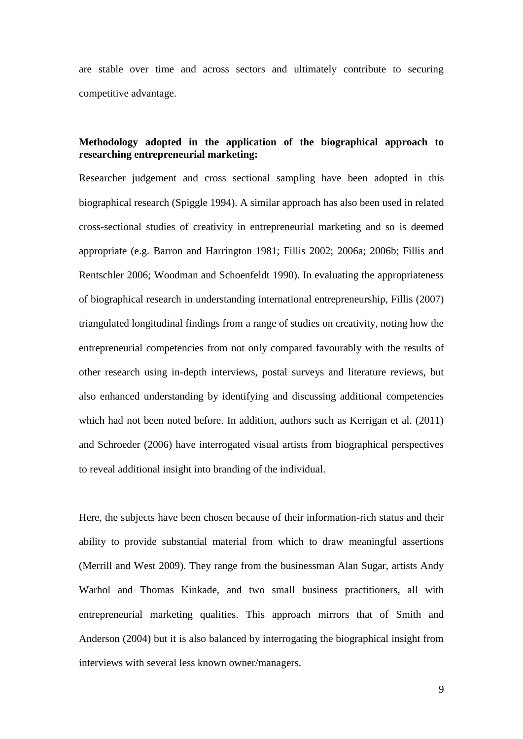are stable over time and across sectors and ultimately contribute to securing competitive advantage.

# **Methodology adopted in the application of the biographical approach to researching entrepreneurial marketing:**

Researcher judgement and cross sectional sampling have been adopted in this biographical research (Spiggle 1994). A similar approach has also been used in related cross-sectional studies of creativity in entrepreneurial marketing and so is deemed appropriate (e.g. Barron and Harrington 1981; Fillis 2002; 2006a; 2006b; Fillis and Rentschler 2006; Woodman and Schoenfeldt 1990). In evaluating the appropriateness of biographical research in understanding international entrepreneurship, Fillis (2007) triangulated longitudinal findings from a range of studies on creativity, noting how the entrepreneurial competencies from not only compared favourably with the results of other research using in-depth interviews, postal surveys and literature reviews, but also enhanced understanding by identifying and discussing additional competencies which had not been noted before. In addition, authors such as Kerrigan et al. (2011) and Schroeder (2006) have interrogated visual artists from biographical perspectives to reveal additional insight into branding of the individual.

Here, the subjects have been chosen because of their information-rich status and their ability to provide substantial material from which to draw meaningful assertions (Merrill and West 2009). They range from the businessman Alan Sugar, artists Andy Warhol and Thomas Kinkade, and two small business practitioners, all with entrepreneurial marketing qualities. This approach mirrors that of Smith and Anderson (2004) but it is also balanced by interrogating the biographical insight from interviews with several less known owner/managers.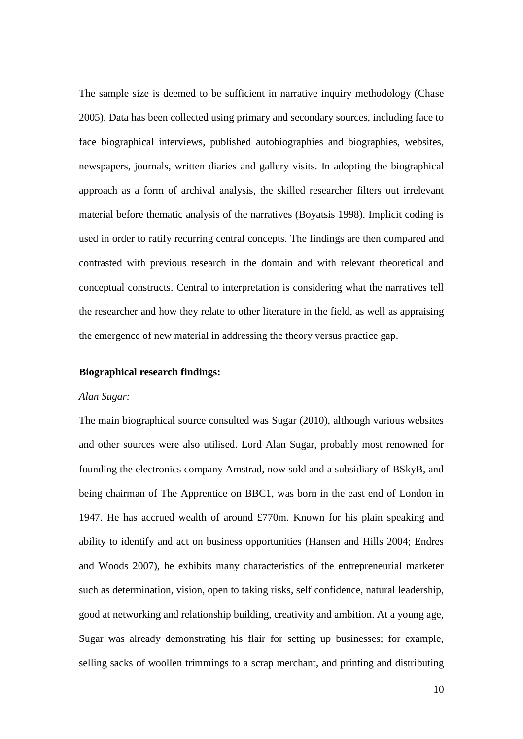The sample size is deemed to be sufficient in narrative inquiry methodology (Chase 2005). Data has been collected using primary and secondary sources, including face to face biographical interviews, published autobiographies and biographies, websites, newspapers, journals, written diaries and gallery visits. In adopting the biographical approach as a form of archival analysis, the skilled researcher filters out irrelevant material before thematic analysis of the narratives (Boyatsis 1998). Implicit coding is used in order to ratify recurring central concepts. The findings are then compared and contrasted with previous research in the domain and with relevant theoretical and conceptual constructs. Central to interpretation is considering what the narratives tell the researcher and how they relate to other literature in the field, as well as appraising the emergence of new material in addressing the theory versus practice gap.

### **Biographical research findings:**

#### *Alan Sugar:*

The main biographical source consulted was Sugar (2010), although various websites and other sources were also utilised. Lord Alan Sugar, probably most renowned for founding the electronics company Amstrad, now sold and a subsidiary of BSkyB, and being chairman of The Apprentice on BBC1, was born in the east end of London in 1947. He has accrued wealth of around £770m. Known for his plain speaking and ability to identify and act on business opportunities (Hansen and Hills 2004; Endres and Woods 2007), he exhibits many characteristics of the entrepreneurial marketer such as determination, vision, open to taking risks, self confidence, natural leadership, good at networking and relationship building, creativity and ambition. At a young age, Sugar was already demonstrating his flair for setting up businesses; for example, selling sacks of woollen trimmings to a scrap merchant, and printing and distributing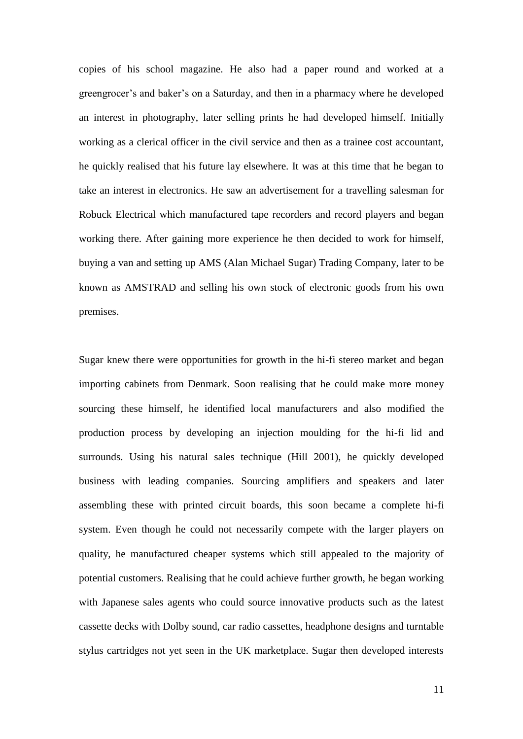copies of his school magazine. He also had a paper round and worked at a greengrocer's and baker's on a Saturday, and then in a pharmacy where he developed an interest in photography, later selling prints he had developed himself. Initially working as a clerical officer in the civil service and then as a trainee cost accountant, he quickly realised that his future lay elsewhere. It was at this time that he began to take an interest in electronics. He saw an advertisement for a travelling salesman for Robuck Electrical which manufactured tape recorders and record players and began working there. After gaining more experience he then decided to work for himself, buying a van and setting up AMS (Alan Michael Sugar) Trading Company, later to be known as AMSTRAD and selling his own stock of electronic goods from his own premises.

Sugar knew there were opportunities for growth in the hi-fi stereo market and began importing cabinets from Denmark. Soon realising that he could make more money sourcing these himself, he identified local manufacturers and also modified the production process by developing an injection moulding for the hi-fi lid and surrounds. Using his natural sales technique (Hill 2001), he quickly developed business with leading companies. Sourcing amplifiers and speakers and later assembling these with printed circuit boards, this soon became a complete hi-fi system. Even though he could not necessarily compete with the larger players on quality, he manufactured cheaper systems which still appealed to the majority of potential customers. Realising that he could achieve further growth, he began working with Japanese sales agents who could source innovative products such as the latest cassette decks with Dolby sound, car radio cassettes, headphone designs and turntable stylus cartridges not yet seen in the UK marketplace. Sugar then developed interests

11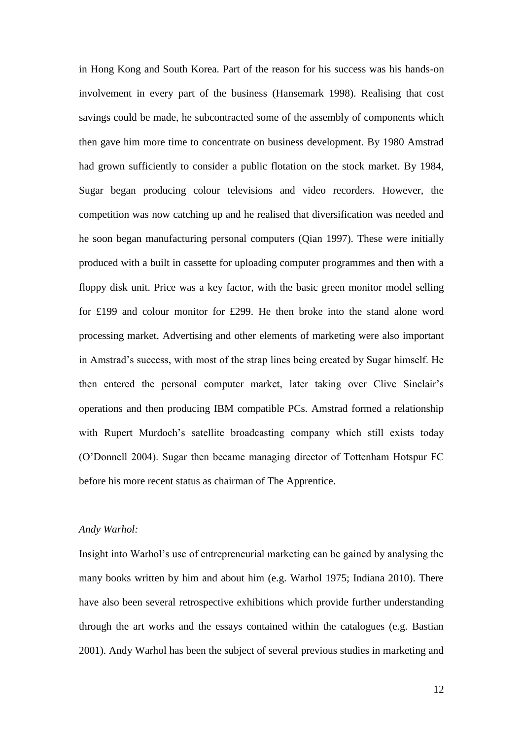in Hong Kong and South Korea. Part of the reason for his success was his hands-on involvement in every part of the business (Hansemark 1998). Realising that cost savings could be made, he subcontracted some of the assembly of components which then gave him more time to concentrate on business development. By 1980 Amstrad had grown sufficiently to consider a public flotation on the stock market. By 1984, Sugar began producing colour televisions and video recorders. However, the competition was now catching up and he realised that diversification was needed and he soon began manufacturing personal computers (Qian 1997). These were initially produced with a built in cassette for uploading computer programmes and then with a floppy disk unit. Price was a key factor, with the basic green monitor model selling for £199 and colour monitor for £299. He then broke into the stand alone word processing market. Advertising and other elements of marketing were also important in Amstrad's success, with most of the strap lines being created by Sugar himself. He then entered the personal computer market, later taking over Clive Sinclair's operations and then producing IBM compatible PCs. Amstrad formed a relationship with Rupert Murdoch's satellite broadcasting company which still exists today (O'Donnell 2004). Sugar then became managing director of Tottenham Hotspur FC before his more recent status as chairman of The Apprentice.

## *Andy Warhol:*

Insight into Warhol's use of entrepreneurial marketing can be gained by analysing the many books written by him and about him (e.g. Warhol 1975; Indiana 2010). There have also been several retrospective exhibitions which provide further understanding through the art works and the essays contained within the catalogues (e.g. Bastian 2001). Andy Warhol has been the subject of several previous studies in marketing and

12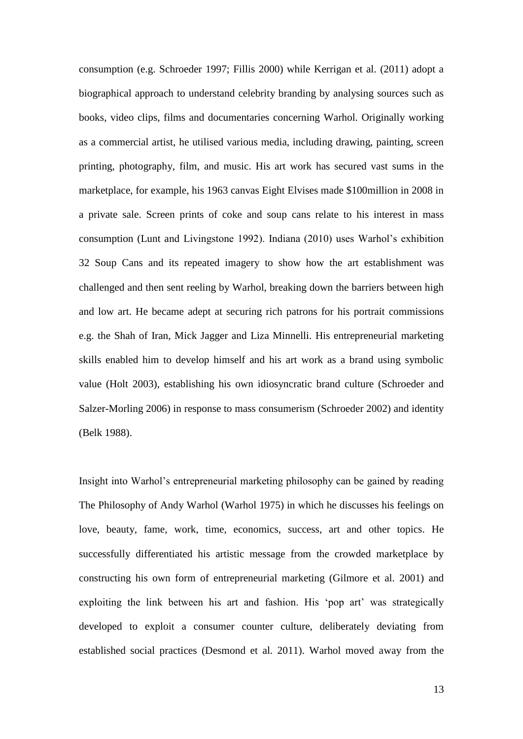consumption (e.g. Schroeder 1997; Fillis 2000) while Kerrigan et al. (2011) adopt a biographical approach to understand celebrity branding by analysing sources such as books, video clips, films and documentaries concerning Warhol. Originally working as a commercial artist, he utilised various media, including drawing, painting, screen printing, photography, film, and music. His art work has secured vast sums in the marketplace, for example, his 1963 canvas Eight Elvises made \$100million in 2008 in a private sale. Screen prints of coke and soup cans relate to his interest in mass consumption (Lunt and Livingstone 1992). Indiana (2010) uses Warhol's exhibition 32 Soup Cans and its repeated imagery to show how the art establishment was challenged and then sent reeling by Warhol, breaking down the barriers between high and low art. He became adept at securing rich patrons for his portrait commissions e.g. the Shah of Iran, Mick Jagger and Liza Minnelli. His entrepreneurial marketing skills enabled him to develop himself and his art work as a brand using symbolic value (Holt 2003), establishing his own idiosyncratic brand culture (Schroeder and Salzer-Morling 2006) in response to mass consumerism (Schroeder 2002) and identity (Belk 1988).

Insight into Warhol's entrepreneurial marketing philosophy can be gained by reading The Philosophy of Andy Warhol (Warhol 1975) in which he discusses his feelings on love, beauty, fame, work, time, economics, success, art and other topics. He successfully differentiated his artistic message from the crowded marketplace by constructing his own form of entrepreneurial marketing (Gilmore et al. 2001) and exploiting the link between his art and fashion. His 'pop art' was strategically developed to exploit a consumer counter culture, deliberately deviating from established social practices (Desmond et al. 2011). Warhol moved away from the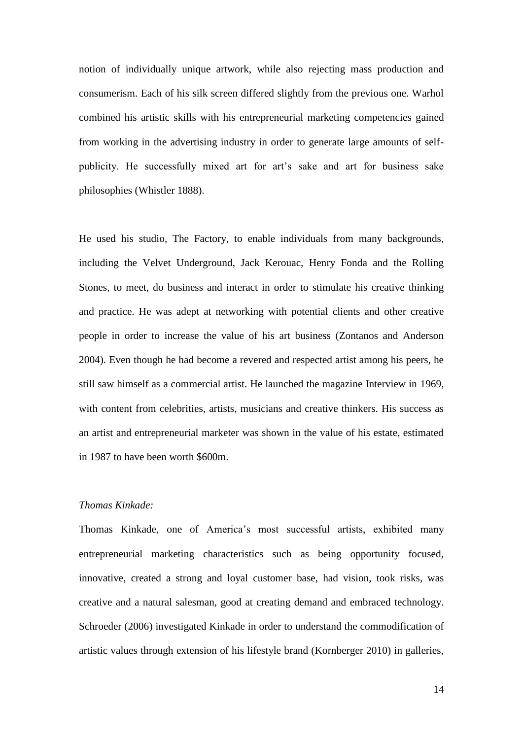notion of individually unique artwork, while also rejecting mass production and consumerism. Each of his silk screen differed slightly from the previous one. Warhol combined his artistic skills with his entrepreneurial marketing competencies gained from working in the advertising industry in order to generate large amounts of selfpublicity. He successfully mixed art for art's sake and art for business sake philosophies (Whistler 1888).

He used his studio, The Factory, to enable individuals from many backgrounds, including the Velvet Underground, Jack Kerouac, Henry Fonda and the Rolling Stones, to meet, do business and interact in order to stimulate his creative thinking and practice. He was adept at networking with potential clients and other creative people in order to increase the value of his art business (Zontanos and Anderson 2004). Even though he had become a revered and respected artist among his peers, he still saw himself as a commercial artist. He launched the magazine Interview in 1969, with content from celebrities, artists, musicians and creative thinkers. His success as an artist and entrepreneurial marketer was shown in the value of his estate, estimated in 1987 to have been worth \$600m.

# *Thomas Kinkade:*

Thomas Kinkade, one of America's most successful artists, exhibited many entrepreneurial marketing characteristics such as being opportunity focused, innovative, created a strong and loyal customer base, had vision, took risks, was creative and a natural salesman, good at creating demand and embraced technology. Schroeder (2006) investigated Kinkade in order to understand the commodification of artistic values through extension of his lifestyle brand (Kornberger 2010) in galleries,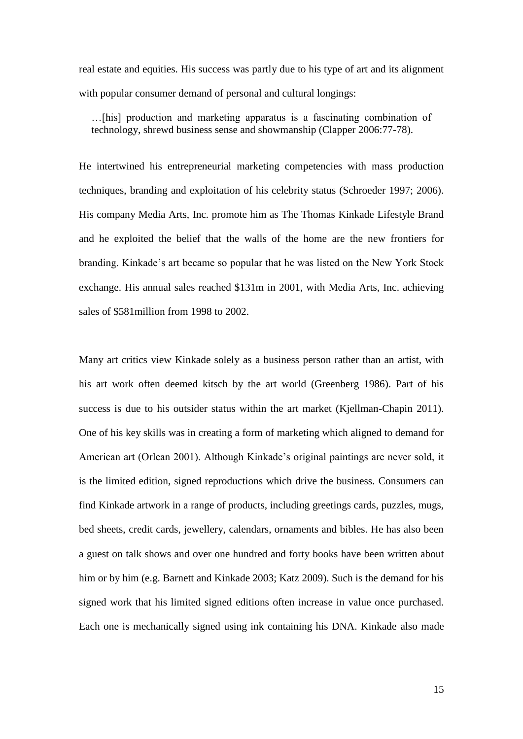real estate and equities. His success was partly due to his type of art and its alignment with popular consumer demand of personal and cultural longings:

…[his] production and marketing apparatus is a fascinating combination of technology, shrewd business sense and showmanship (Clapper 2006:77-78).

He intertwined his entrepreneurial marketing competencies with mass production techniques, branding and exploitation of his celebrity status (Schroeder 1997; 2006). His company Media Arts, Inc. promote him as The Thomas Kinkade Lifestyle Brand and he exploited the belief that the walls of the home are the new frontiers for branding. Kinkade's art became so popular that he was listed on the New York Stock exchange. His annual sales reached \$131m in 2001, with Media Arts, Inc. achieving sales of \$581million from 1998 to 2002.

Many art critics view Kinkade solely as a business person rather than an artist, with his art work often deemed kitsch by the art world (Greenberg 1986). Part of his success is due to his outsider status within the art market (Kjellman-Chapin 2011). One of his key skills was in creating a form of marketing which aligned to demand for American art (Orlean 2001). Although Kinkade's original paintings are never sold, it is the limited edition, signed reproductions which drive the business. Consumers can find Kinkade artwork in a range of products, including greetings cards, puzzles, mugs, bed sheets, credit cards, jewellery, calendars, ornaments and bibles. He has also been a guest on talk shows and over one hundred and forty books have been written about him or by him (e.g. Barnett and Kinkade 2003; Katz 2009). Such is the demand for his signed work that his limited signed editions often increase in value once purchased. Each one is mechanically signed using ink containing his DNA. Kinkade also made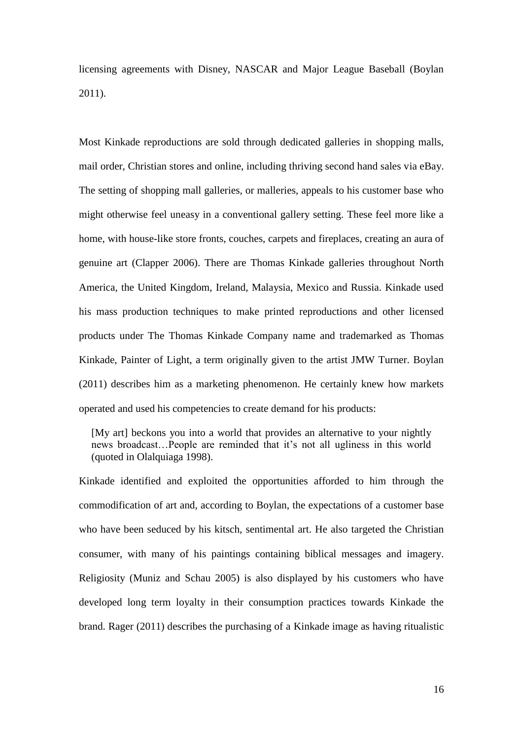licensing agreements with Disney, NASCAR and Major League Baseball (Boylan 2011).

Most Kinkade reproductions are sold through dedicated galleries in shopping malls, mail order, Christian stores and online, including thriving second hand sales via eBay. The setting of shopping mall galleries, or malleries, appeals to his customer base who might otherwise feel uneasy in a conventional gallery setting. These feel more like a home, with house-like store fronts, couches, carpets and fireplaces, creating an aura of genuine art (Clapper 2006). There are Thomas Kinkade galleries throughout North America, the United Kingdom, Ireland, Malaysia, Mexico and Russia. Kinkade used his mass production techniques to make printed reproductions and other licensed products under The Thomas Kinkade Company name and trademarked as Thomas Kinkade, Painter of Light, a term originally given to the artist JMW Turner. Boylan (2011) describes him as a marketing phenomenon. He certainly knew how markets operated and used his competencies to create demand for his products:

[My art] beckons you into a world that provides an alternative to your nightly news broadcast…People are reminded that it's not all ugliness in this world (quoted in Olalquiaga 1998).

Kinkade identified and exploited the opportunities afforded to him through the commodification of art and, according to Boylan, the expectations of a customer base who have been seduced by his kitsch, sentimental art. He also targeted the Christian consumer, with many of his paintings containing biblical messages and imagery. Religiosity (Muniz and Schau 2005) is also displayed by his customers who have developed long term loyalty in their consumption practices towards Kinkade the brand. Rager (2011) describes the purchasing of a Kinkade image as having ritualistic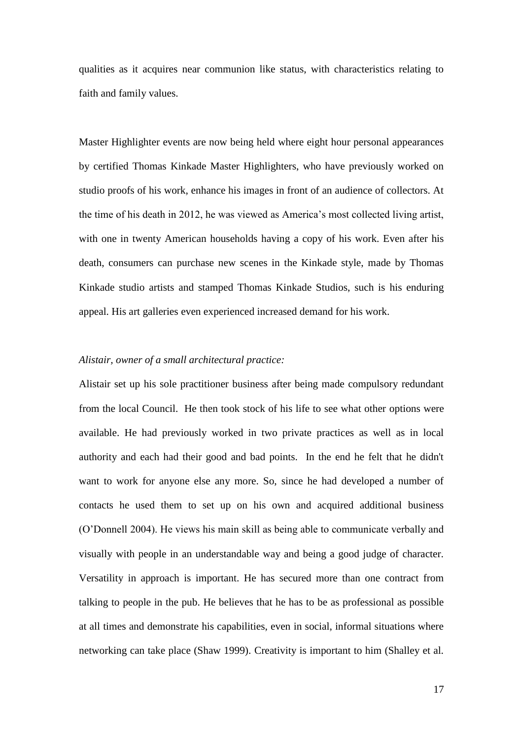qualities as it acquires near communion like status, with characteristics relating to faith and family values.

Master Highlighter events are now being held where eight hour personal appearances by certified Thomas Kinkade Master Highlighters, who have previously worked on studio proofs of his work, enhance his images in front of an audience of collectors. At the time of his death in 2012, he was viewed as America's most collected living artist, with one in twenty American households having a copy of his work. Even after his death, consumers can purchase new scenes in the Kinkade style, made by Thomas Kinkade studio artists and stamped Thomas Kinkade Studios, such is his enduring appeal. His art galleries even experienced increased demand for his work.

# *Alistair, owner of a small architectural practice:*

Alistair set up his sole practitioner business after being made compulsory redundant from the local Council. He then took stock of his life to see what other options were available. He had previously worked in two private practices as well as in local authority and each had their good and bad points. In the end he felt that he didn't want to work for anyone else any more. So, since he had developed a number of contacts he used them to set up on his own and acquired additional business (O'Donnell 2004). He views his main skill as being able to communicate verbally and visually with people in an understandable way and being a good judge of character. Versatility in approach is important. He has secured more than one contract from talking to people in the pub. He believes that he has to be as professional as possible at all times and demonstrate his capabilities, even in social, informal situations where networking can take place (Shaw 1999). Creativity is important to him (Shalley et al.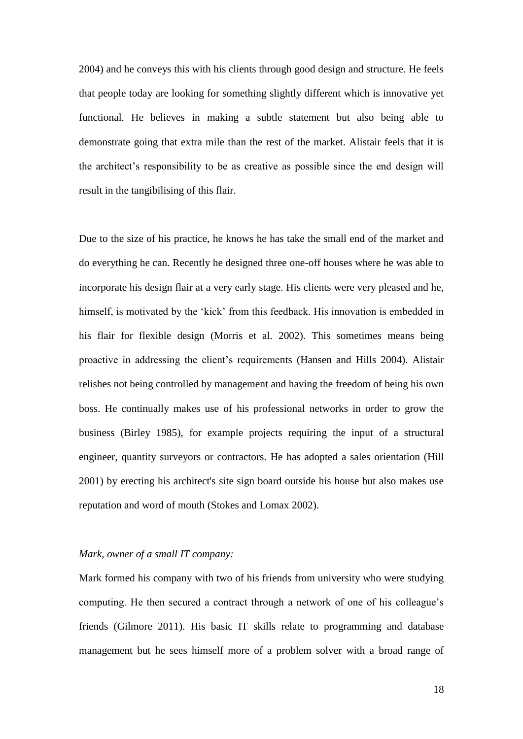2004) and he conveys this with his clients through good design and structure. He feels that people today are looking for something slightly different which is innovative yet functional. He believes in making a subtle statement but also being able to demonstrate going that extra mile than the rest of the market. Alistair feels that it is the architect's responsibility to be as creative as possible since the end design will result in the tangibilising of this flair.

Due to the size of his practice, he knows he has take the small end of the market and do everything he can. Recently he designed three one-off houses where he was able to incorporate his design flair at a very early stage. His clients were very pleased and he, himself, is motivated by the 'kick' from this feedback. His innovation is embedded in his flair for flexible design (Morris et al. 2002). This sometimes means being proactive in addressing the client's requirements (Hansen and Hills 2004). Alistair relishes not being controlled by management and having the freedom of being his own boss. He continually makes use of his professional networks in order to grow the business (Birley 1985), for example projects requiring the input of a structural engineer, quantity surveyors or contractors. He has adopted a sales orientation (Hill 2001) by erecting his architect's site sign board outside his house but also makes use reputation and word of mouth (Stokes and Lomax 2002).

# *Mark, owner of a small IT company:*

Mark formed his company with two of his friends from university who were studying computing. He then secured a contract through a network of one of his colleague's friends (Gilmore 2011). His basic IT skills relate to programming and database management but he sees himself more of a problem solver with a broad range of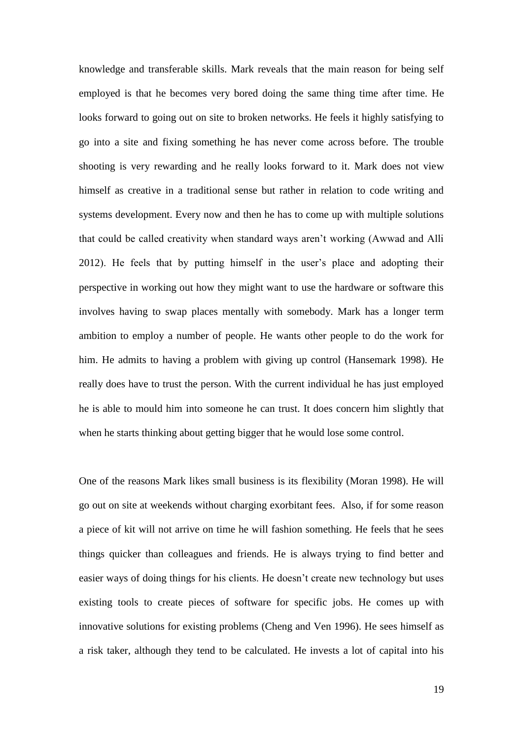knowledge and transferable skills. Mark reveals that the main reason for being self employed is that he becomes very bored doing the same thing time after time. He looks forward to going out on site to broken networks. He feels it highly satisfying to go into a site and fixing something he has never come across before. The trouble shooting is very rewarding and he really looks forward to it. Mark does not view himself as creative in a traditional sense but rather in relation to code writing and systems development. Every now and then he has to come up with multiple solutions that could be called creativity when standard ways aren't working (Awwad and Alli 2012). He feels that by putting himself in the user's place and adopting their perspective in working out how they might want to use the hardware or software this involves having to swap places mentally with somebody. Mark has a longer term ambition to employ a number of people. He wants other people to do the work for him. He admits to having a problem with giving up control (Hansemark 1998). He really does have to trust the person. With the current individual he has just employed he is able to mould him into someone he can trust. It does concern him slightly that when he starts thinking about getting bigger that he would lose some control.

One of the reasons Mark likes small business is its flexibility (Moran 1998). He will go out on site at weekends without charging exorbitant fees. Also, if for some reason a piece of kit will not arrive on time he will fashion something. He feels that he sees things quicker than colleagues and friends. He is always trying to find better and easier ways of doing things for his clients. He doesn't create new technology but uses existing tools to create pieces of software for specific jobs. He comes up with innovative solutions for existing problems (Cheng and Ven 1996). He sees himself as a risk taker, although they tend to be calculated. He invests a lot of capital into his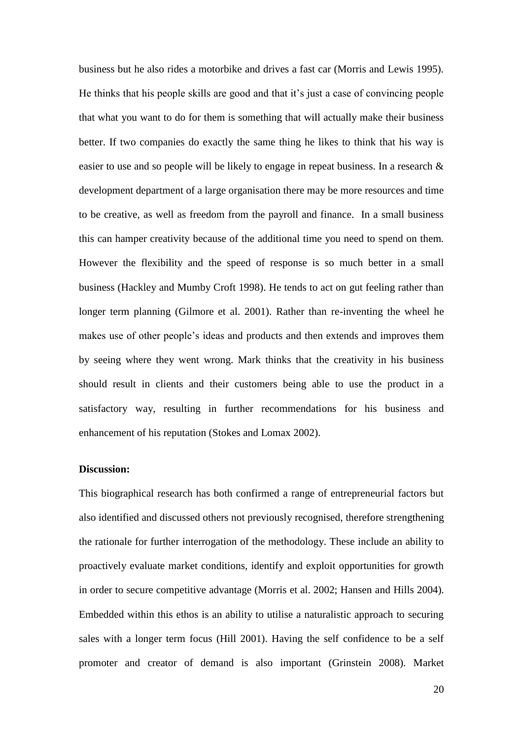business but he also rides a motorbike and drives a fast car (Morris and Lewis 1995). He thinks that his people skills are good and that it's just a case of convincing people that what you want to do for them is something that will actually make their business better. If two companies do exactly the same thing he likes to think that his way is easier to use and so people will be likely to engage in repeat business. In a research & development department of a large organisation there may be more resources and time to be creative, as well as freedom from the payroll and finance. In a small business this can hamper creativity because of the additional time you need to spend on them. However the flexibility and the speed of response is so much better in a small business (Hackley and Mumby Croft 1998). He tends to act on gut feeling rather than longer term planning (Gilmore et al. 2001). Rather than re-inventing the wheel he makes use of other people's ideas and products and then extends and improves them by seeing where they went wrong. Mark thinks that the creativity in his business should result in clients and their customers being able to use the product in a satisfactory way, resulting in further recommendations for his business and enhancement of his reputation (Stokes and Lomax 2002).

# **Discussion:**

This biographical research has both confirmed a range of entrepreneurial factors but also identified and discussed others not previously recognised, therefore strengthening the rationale for further interrogation of the methodology. These include an ability to proactively evaluate market conditions, identify and exploit opportunities for growth in order to secure competitive advantage (Morris et al. 2002; Hansen and Hills 2004). Embedded within this ethos is an ability to utilise a naturalistic approach to securing sales with a longer term focus (Hill 2001). Having the self confidence to be a self promoter and creator of demand is also important (Grinstein 2008). Market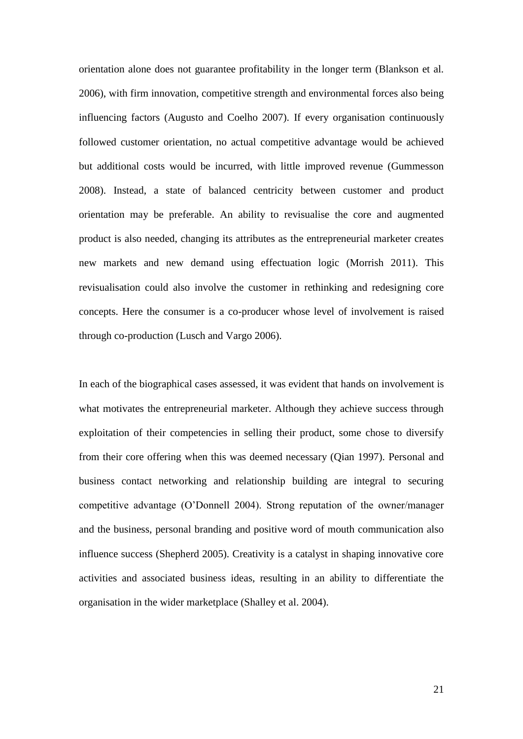orientation alone does not guarantee profitability in the longer term (Blankson et al. 2006), with firm innovation, competitive strength and environmental forces also being influencing factors (Augusto and Coelho 2007). If every organisation continuously followed customer orientation, no actual competitive advantage would be achieved but additional costs would be incurred, with little improved revenue (Gummesson 2008). Instead, a state of balanced centricity between customer and product orientation may be preferable. An ability to revisualise the core and augmented product is also needed, changing its attributes as the entrepreneurial marketer creates new markets and new demand using effectuation logic (Morrish 2011). This revisualisation could also involve the customer in rethinking and redesigning core concepts. Here the consumer is a co-producer whose level of involvement is raised through co-production (Lusch and Vargo 2006).

In each of the biographical cases assessed, it was evident that hands on involvement is what motivates the entrepreneurial marketer. Although they achieve success through exploitation of their competencies in selling their product, some chose to diversify from their core offering when this was deemed necessary (Qian 1997). Personal and business contact networking and relationship building are integral to securing competitive advantage (O'Donnell 2004). Strong reputation of the owner/manager and the business, personal branding and positive word of mouth communication also influence success (Shepherd 2005). Creativity is a catalyst in shaping innovative core activities and associated business ideas, resulting in an ability to differentiate the organisation in the wider marketplace (Shalley et al. 2004).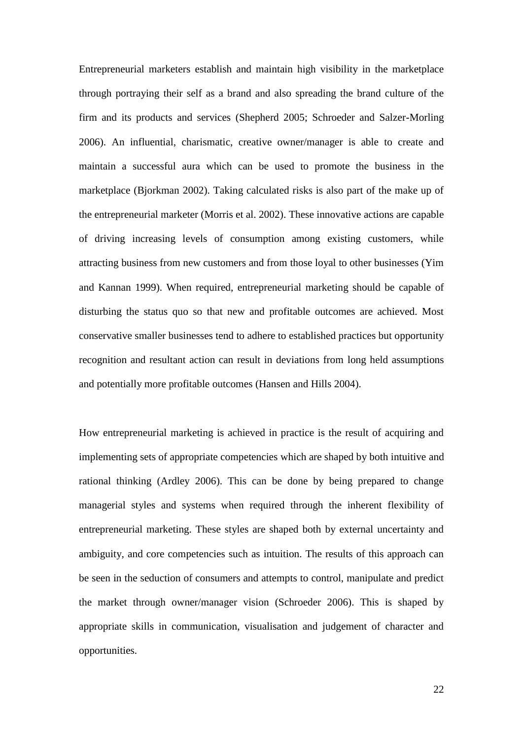Entrepreneurial marketers establish and maintain high visibility in the marketplace through portraying their self as a brand and also spreading the brand culture of the firm and its products and services (Shepherd 2005; Schroeder and Salzer-Morling 2006). An influential, charismatic, creative owner/manager is able to create and maintain a successful aura which can be used to promote the business in the marketplace (Bjorkman 2002). Taking calculated risks is also part of the make up of the entrepreneurial marketer (Morris et al. 2002). These innovative actions are capable of driving increasing levels of consumption among existing customers, while attracting business from new customers and from those loyal to other businesses (Yim and Kannan 1999). When required, entrepreneurial marketing should be capable of disturbing the status quo so that new and profitable outcomes are achieved. Most conservative smaller businesses tend to adhere to established practices but opportunity recognition and resultant action can result in deviations from long held assumptions and potentially more profitable outcomes (Hansen and Hills 2004).

How entrepreneurial marketing is achieved in practice is the result of acquiring and implementing sets of appropriate competencies which are shaped by both intuitive and rational thinking (Ardley 2006). This can be done by being prepared to change managerial styles and systems when required through the inherent flexibility of entrepreneurial marketing. These styles are shaped both by external uncertainty and ambiguity, and core competencies such as intuition. The results of this approach can be seen in the seduction of consumers and attempts to control, manipulate and predict the market through owner/manager vision (Schroeder 2006). This is shaped by appropriate skills in communication, visualisation and judgement of character and opportunities.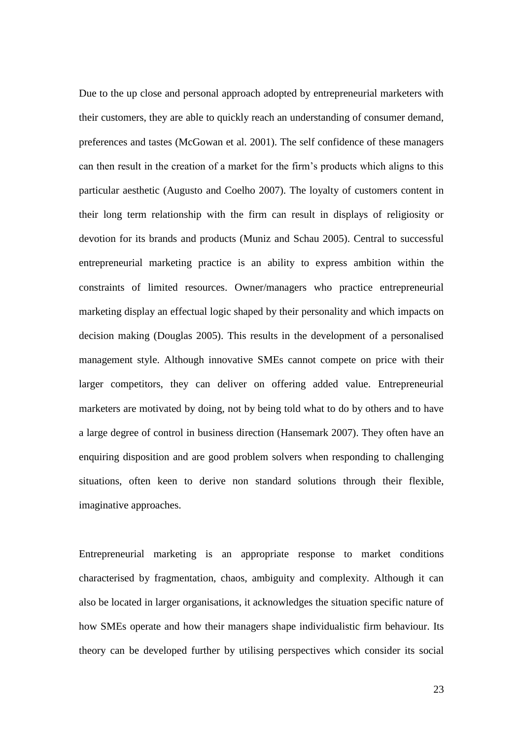Due to the up close and personal approach adopted by entrepreneurial marketers with their customers, they are able to quickly reach an understanding of consumer demand, preferences and tastes (McGowan et al. 2001). The self confidence of these managers can then result in the creation of a market for the firm's products which aligns to this particular aesthetic (Augusto and Coelho 2007). The loyalty of customers content in their long term relationship with the firm can result in displays of religiosity or devotion for its brands and products (Muniz and Schau 2005). Central to successful entrepreneurial marketing practice is an ability to express ambition within the constraints of limited resources. Owner/managers who practice entrepreneurial marketing display an effectual logic shaped by their personality and which impacts on decision making (Douglas 2005). This results in the development of a personalised management style. Although innovative SMEs cannot compete on price with their larger competitors, they can deliver on offering added value. Entrepreneurial marketers are motivated by doing, not by being told what to do by others and to have a large degree of control in business direction (Hansemark 2007). They often have an enquiring disposition and are good problem solvers when responding to challenging situations, often keen to derive non standard solutions through their flexible, imaginative approaches.

Entrepreneurial marketing is an appropriate response to market conditions characterised by fragmentation, chaos, ambiguity and complexity. Although it can also be located in larger organisations, it acknowledges the situation specific nature of how SMEs operate and how their managers shape individualistic firm behaviour. Its theory can be developed further by utilising perspectives which consider its social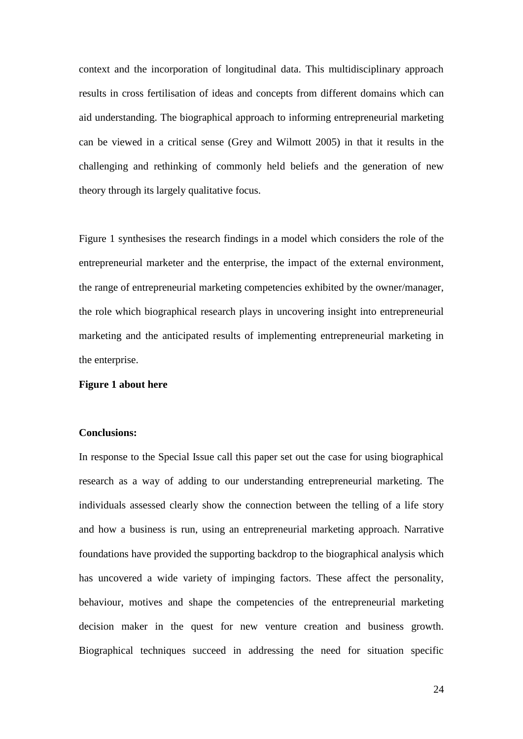context and the incorporation of longitudinal data. This multidisciplinary approach results in cross fertilisation of ideas and concepts from different domains which can aid understanding. The biographical approach to informing entrepreneurial marketing can be viewed in a critical sense (Grey and Wilmott 2005) in that it results in the challenging and rethinking of commonly held beliefs and the generation of new theory through its largely qualitative focus.

Figure 1 synthesises the research findings in a model which considers the role of the entrepreneurial marketer and the enterprise, the impact of the external environment, the range of entrepreneurial marketing competencies exhibited by the owner/manager, the role which biographical research plays in uncovering insight into entrepreneurial marketing and the anticipated results of implementing entrepreneurial marketing in the enterprise.

## **Figure 1 about here**

## **Conclusions:**

In response to the Special Issue call this paper set out the case for using biographical research as a way of adding to our understanding entrepreneurial marketing. The individuals assessed clearly show the connection between the telling of a life story and how a business is run, using an entrepreneurial marketing approach. Narrative foundations have provided the supporting backdrop to the biographical analysis which has uncovered a wide variety of impinging factors. These affect the personality, behaviour, motives and shape the competencies of the entrepreneurial marketing decision maker in the quest for new venture creation and business growth. Biographical techniques succeed in addressing the need for situation specific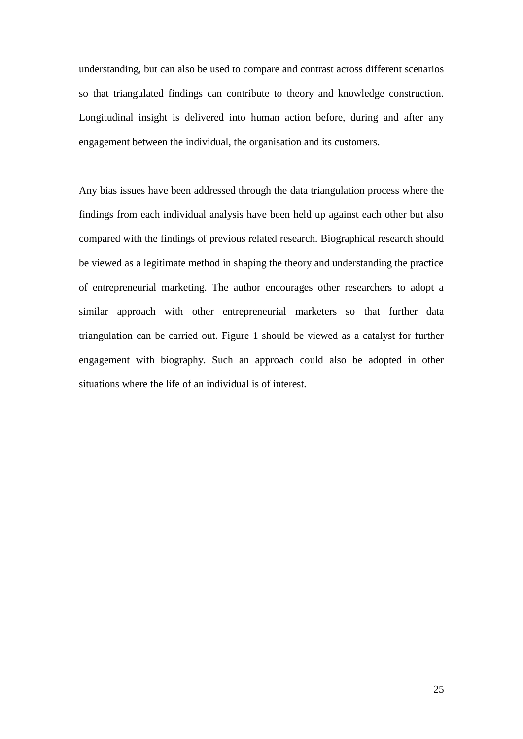understanding, but can also be used to compare and contrast across different scenarios so that triangulated findings can contribute to theory and knowledge construction. Longitudinal insight is delivered into human action before, during and after any engagement between the individual, the organisation and its customers.

Any bias issues have been addressed through the data triangulation process where the findings from each individual analysis have been held up against each other but also compared with the findings of previous related research. Biographical research should be viewed as a legitimate method in shaping the theory and understanding the practice of entrepreneurial marketing. The author encourages other researchers to adopt a similar approach with other entrepreneurial marketers so that further data triangulation can be carried out. Figure 1 should be viewed as a catalyst for further engagement with biography. Such an approach could also be adopted in other situations where the life of an individual is of interest.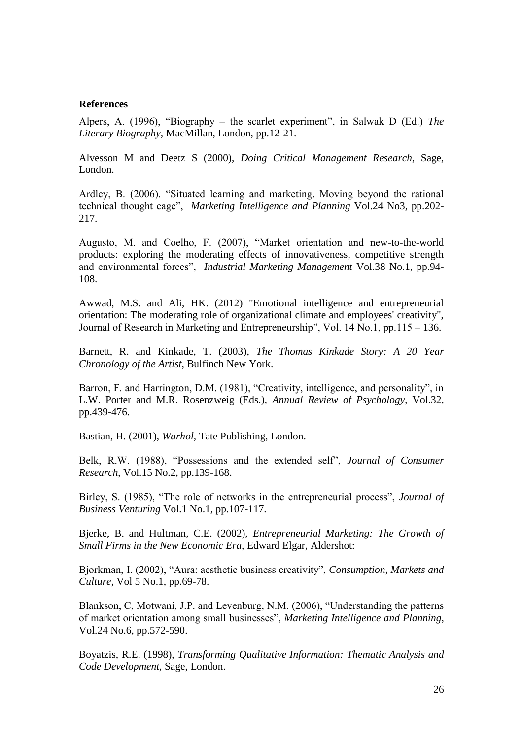#### **References**

Alpers, A. (1996), "Biography – the scarlet experiment", in Salwak D (Ed.) *The Literary Biography,* MacMillan, London, pp.12-21.

Alvesson M and Deetz S (2000), *Doing Critical Management Research*, Sage, London.

Ardley, B. (2006). "Situated learning and marketing. Moving beyond the rational technical thought cage", *Marketing Intelligence and Planning* Vol.24 No3, pp.202- 217.

Augusto, M. and Coelho, F. (2007), "Market orientation and new-to-the-world products: exploring the moderating effects of innovativeness, competitive strength and environmental forces", *Industrial Marketing Management* Vol.38 No.1, pp.94- 108.

Awwad, M.S. and Ali, HK. (2012) "Emotional intelligence and entrepreneurial orientation: The moderating role of organizational climate and employees' creativity", Journal of Research in Marketing and Entrepreneurship", Vol. 14 No.1, pp.115 – 136.

Barnett, R. and Kinkade, T. (2003), *The Thomas Kinkade Story: A 20 Year Chronology of the Artist,* Bulfinch New York.

Barron, F. and Harrington, D.M. (1981), "Creativity, intelligence, and personality", in L.W. Porter and M.R. Rosenzweig (Eds.), *Annual Review of Psychology*, Vol.32, pp.439-476.

Bastian, H. (2001), *Warhol,* Tate Publishing, London.

Belk, R.W. (1988), "Possessions and the extended self", *Journal of Consumer Research*, Vol.15 No.2, pp.139-168.

Birley, S. (1985), "The role of networks in the entrepreneurial process", *Journal of Business Venturing* Vol.1 No.1, pp.107-117.

Bjerke, B. and Hultman, C.E. (2002), *Entrepreneurial Marketing: The Growth of Small Firms in the New Economic Era,* Edward Elgar, Aldershot:

Bjorkman, I. (2002), "Aura: aesthetic business creativity", *Consumption, Markets and Culture,* Vol 5 No.1, pp.69-78.

Blankson, C, Motwani, J.P. and Levenburg, N.M. (2006), "Understanding the patterns of market orientation among small businesses", *Marketing Intelligence and Planning*, Vol.24 No.6, pp.572-590.

Boyatzis, R.E. (1998), *Transforming Qualitative Information: Thematic Analysis and Code Development,* Sage, London.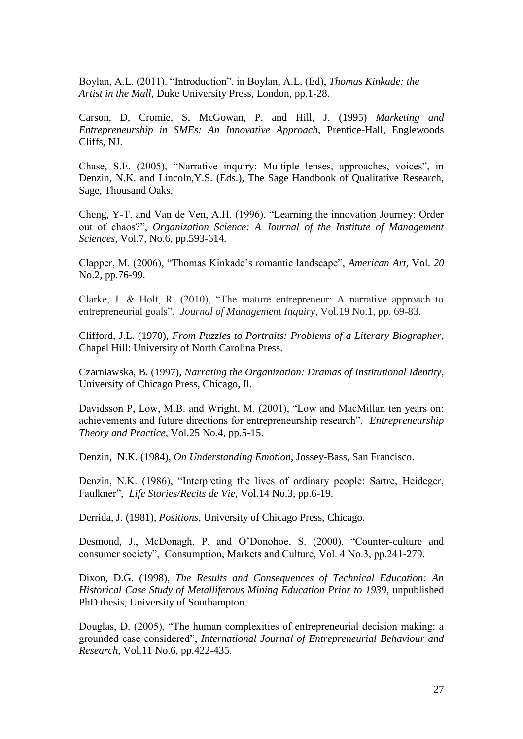Boylan, A.L. (2011). "Introduction", in Boylan, A.L. (Ed), *Thomas Kinkade: the Artist in the Mall,* Duke University Press, London, pp.1-28.

Carson, D, Cromie, S, McGowan, P. and Hill, J. (1995) *Marketing and Entrepreneurship in SMEs: An Innovative Approach,* Prentice-Hall, Englewoods Cliffs, NJ.

Chase, S.E. (2005), "Narrative inquiry: Multiple lenses, approaches, voices", in Denzin, N.K. and Lincoln,Y.S. (Eds.), The Sage Handbook of Qualitative Research, Sage, Thousand Oaks.

Cheng, Y-T. and Van de Ven, A.H. (1996), "Learning the innovation Journey: Order out of chaos?", *Organization Science: A Journal of the Institute of Management Sciences*, Vol.7, No.6, pp.593-614.

Clapper, M. (2006), "Thomas Kinkade's romantic landscape", *American Art,* Vol. *20*  No.2, pp.76-99.

Clarke, J. & Holt, R. (2010), "The mature entrepreneur: A narrative approach to entrepreneurial goals", *Journal of Management Inquiry*, Vol.19 No.1, pp. 69-83.

Clifford, J.L. (1970), *From Puzzles to Portraits: Problems of a Literary Biographer*, Chapel Hill: University of North Carolina Press.

Czarniawska, B. (1997), *Narrating the Organization: Dramas of Institutional Identity,* University of Chicago Press, Chicago, Il.

Davidsson P, Low, M.B. and Wright, M. (2001), "Low and MacMillan ten years on: achievements and future directions for entrepreneurship research", *Entrepreneurship Theory and Practice*, Vol.25 No.4, pp.5-15.

Denzin, N.K. (1984), *On Understanding Emotion*, Jossey-Bass, San Francisco.

Denzin, N.K. (1986), "Interpreting the lives of ordinary people: Sartre, Heideger, Faulkner", *Life Stories/Recits de Vie,* Vol.14 No.3, pp.6-19.

Derrida, J. (1981), *Positions,* University of Chicago Press, Chicago.

Desmond, J., McDonagh, P. and O'Donohoe, S. (2000). "Counter-culture and consumer society", Consumption, Markets and Culture, Vol. 4 No.3, pp.241-279.

Dixon, D.G. (1998), *The Results and Consequences of Technical Education: An Historical Case Study of Metalliferous Mining Education Prior to 1939*, unpublished PhD thesis, University of Southampton.

Douglas, D. (2005), "The human complexities of entrepreneurial decision making: a grounded case considered", *International Journal of Entrepreneurial Behaviour and Research*, Vol.11 No.6, pp.422-435.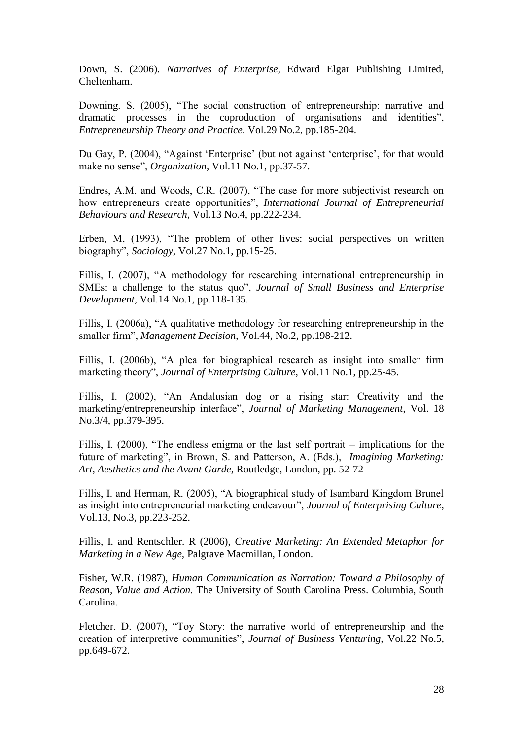Down, S. (2006). *Narratives of Enterprise,* Edward Elgar Publishing Limited, Cheltenham.

Downing. S. (2005), "The social construction of entrepreneurship: narrative and dramatic processes in the coproduction of organisations and identities", *Entrepreneurship Theory and Practice,* Vol.29 No.2, pp.185-204.

Du Gay, P. (2004), "Against 'Enterprise' (but not against 'enterprise', for that would make no sense", *Organization*, Vol.11 No.1, pp.37-57.

Endres, A.M. and Woods, C.R. (2007), "The case for more subjectivist research on how entrepreneurs create opportunities", *International Journal of Entrepreneurial Behaviours and Research*, Vol.13 No.4, pp.222-234.

Erben, M, (1993), "The problem of other lives: social perspectives on written biography", *Sociology,* Vol.27 No.1, pp.15-25.

Fillis, I. (2007), "A methodology for researching international entrepreneurship in SMEs: a challenge to the status quo", *Journal of Small Business and Enterprise Development*, Vol.14 No.1, pp.118-135.

Fillis, I. (2006a), "A qualitative methodology for researching entrepreneurship in the smaller firm", *Management Decision*, Vol.44, No.2, pp.198-212.

Fillis, I. (2006b), "A plea for biographical research as insight into smaller firm marketing theory", *Journal of Enterprising Culture*, Vol.11 No.1, pp.25-45.

Fillis, I. (2002), "An Andalusian dog or a rising star: Creativity and the marketing/entrepreneurship interface", *Journal of Marketing Management*, Vol. 18 No.3/4, pp.379-395.

Fillis, I. (2000), "The endless enigma or the last self portrait – implications for the future of marketing", in Brown, S. and Patterson, A. (Eds.), *Imagining Marketing: Art, Aesthetics and the Avant Garde*, Routledge, London, pp. 52-72

Fillis, I. and Herman, R. (2005), "A biographical study of Isambard Kingdom Brunel as insight into entrepreneurial marketing endeavour", *Journal of Enterprising Culture*, Vol.13, No.3, pp.223-252.

Fillis, I. and Rentschler. R (2006), *Creative Marketing: An Extended Metaphor for Marketing in a New Age,* Palgrave Macmillan, London.

Fisher, W.R. (1987), *Human Communication as Narration: Toward a Philosophy of Reason, Value and Action.* The University of South Carolina Press. Columbia, South Carolina.

Fletcher. D. (2007), "Toy Story: the narrative world of entrepreneurship and the creation of interpretive communities", *Journal of Business Venturing,* Vol.22 No.5, pp.649-672.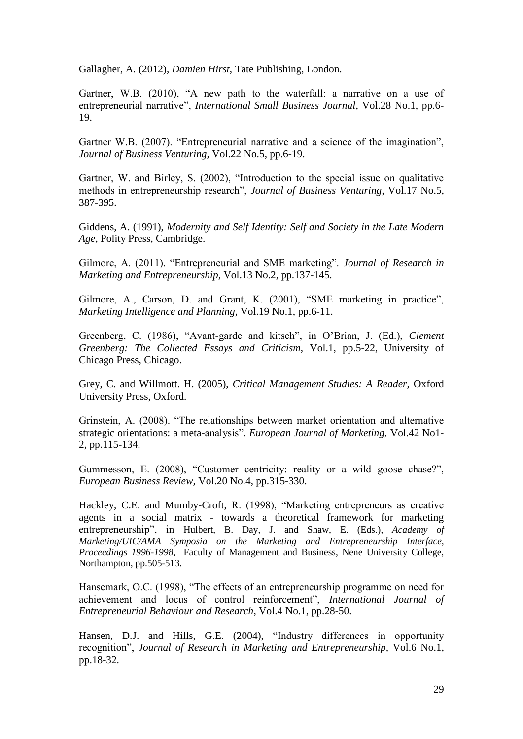Gallagher, A. (2012), *Damien Hirst*, Tate Publishing, London.

Gartner, W.B. (2010), "A new path to the waterfall: a narrative on a use of entrepreneurial narrative", *International Small Business Journal*, Vol.28 No.1, pp.6- 19.

Gartner W.B. (2007). "Entrepreneurial narrative and a science of the imagination", *Journal of Business Venturing,* Vol.22 No.5, pp.6-19.

Gartner, W. and Birley, S. (2002), "Introduction to the special issue on qualitative methods in entrepreneurship research", *Journal of Business Venturing*, Vol.17 No.5, 387-395.

Giddens, A. (1991), *Modernity and Self Identity: Self and Society in the Late Modern Age,* Polity Press, Cambridge.

Gilmore, A. (2011). "Entrepreneurial and SME marketing". *Journal of Research in Marketing and Entrepreneurship*, Vol.13 No.2, pp.137-145.

Gilmore, A., Carson, D. and Grant, K. (2001), "SME marketing in practice", *Marketing Intelligence and Planning*, Vol.19 No.1, pp.6-11.

Greenberg, C. (1986), "Avant-garde and kitsch", in O'Brian, J. (Ed.), *Clement Greenberg: The Collected Essays and Criticism*, Vol.1, pp.5-22, University of Chicago Press, Chicago.

Grey, C. and Willmott. H. (2005), *Critical Management Studies: A Reader,* Oxford University Press, Oxford.

Grinstein, A. (2008). "The relationships between market orientation and alternative strategic orientations: a meta-analysis", *European Journal of Marketing,* Vol.42 No1- 2, pp.115-134.

Gummesson, E. (2008), "Customer centricity: reality or a wild goose chase?", *European Business Review,* Vol.20 No.4, pp.315-330.

Hackley, C.E. and Mumby-Croft, R. (1998), "Marketing entrepreneurs as creative agents in a social matrix - towards a theoretical framework for marketing entrepreneurship", in Hulbert, B. Day, J. and Shaw, E. (Eds.), *Academy of Marketing/UIC/AMA Symposia on the Marketing and Entrepreneurship Interface, Proceedings 1996-1998*, Faculty of Management and Business, Nene University College, Northampton, pp.505-513.

Hansemark, O.C. (1998), "The effects of an entrepreneurship programme on need for achievement and locus of control reinforcement", *International Journal of Entrepreneurial Behaviour and Research*, Vol.4 No.1, pp.28-50.

Hansen, D.J. and Hills, G.E. (2004), "Industry differences in opportunity recognition", *Journal of Research in Marketing and Entrepreneurship,* Vol.6 No.1, pp.18-32.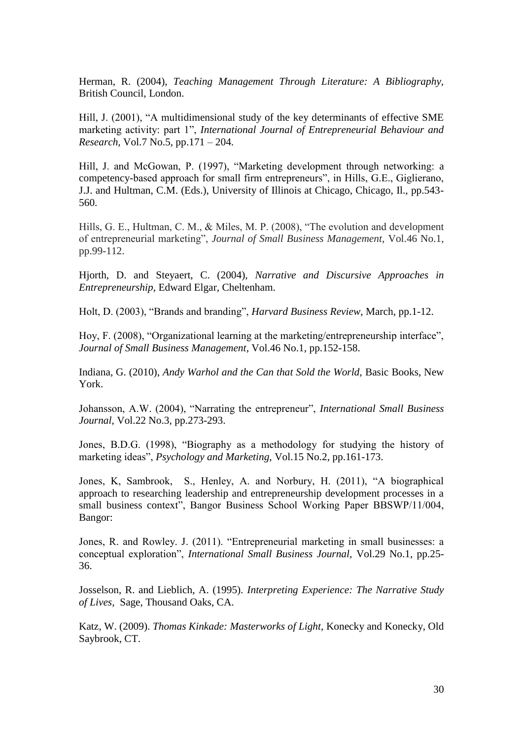Herman, R. (2004), *Teaching Management Through Literature: A Bibliography,* British Council, London.

Hill, J. (2001), "A multidimensional study of the key determinants of effective SME marketing activity: part 1", *International Journal of Entrepreneurial Behaviour and Research,* Vol.7 No.5, pp.171 – 204.

Hill, J. and McGowan, P. (1997), "Marketing development through networking: a competency-based approach for small firm entrepreneurs", in Hills, G.E., Giglierano, J.J. and Hultman, C.M. (Eds.), University of Illinois at Chicago, Chicago, Il., pp.543- 560.

Hills, G. E., Hultman, C. M., & Miles, M. P. (2008), "The evolution and development of entrepreneurial marketing", *Journal of Small Business Management*, Vol.46 No.1, pp.99-112.

Hjorth, D. and Steyaert, C. (2004), *Narrative and Discursive Approaches in Entrepreneurship,* Edward Elgar, Cheltenham.

Holt, D. (2003), "Brands and branding", *Harvard Business Review*, March, pp.1-12.

Hoy, F. (2008), "Organizational learning at the marketing/entrepreneurship interface", *Journal of Small Business Management*, Vol.46 No.1, pp.152-158.

Indiana, G. (2010), *Andy Warhol and the Can that Sold the World,* Basic Books, New York.

Johansson, A.W. (2004), "Narrating the entrepreneur", *International Small Business Journal*, Vol.22 No.3, pp.273-293.

Jones, B.D.G. (1998), "Biography as a methodology for studying the history of marketing ideas", *Psychology and Marketing,* Vol.15 No.2, pp.161-173.

Jones, K, Sambrook, S., Henley, A. and Norbury, H. (2011), "A biographical approach to researching leadership and entrepreneurship development processes in a small business context", Bangor Business School Working Paper BBSWP/11/004, Bangor:

Jones, R. and Rowley. J. (2011). "Entrepreneurial marketing in small businesses: a conceptual exploration", *International Small Business Journal,* Vol.29 No.1, pp.25- 36.

Josselson, R. and Lieblich, A. (1995). *Interpreting Experience: The Narrative Study of Lives,* Sage, Thousand Oaks, CA.

Katz, W. (2009). *Thomas Kinkade: Masterworks of Light,* Konecky and Konecky, Old Saybrook, CT.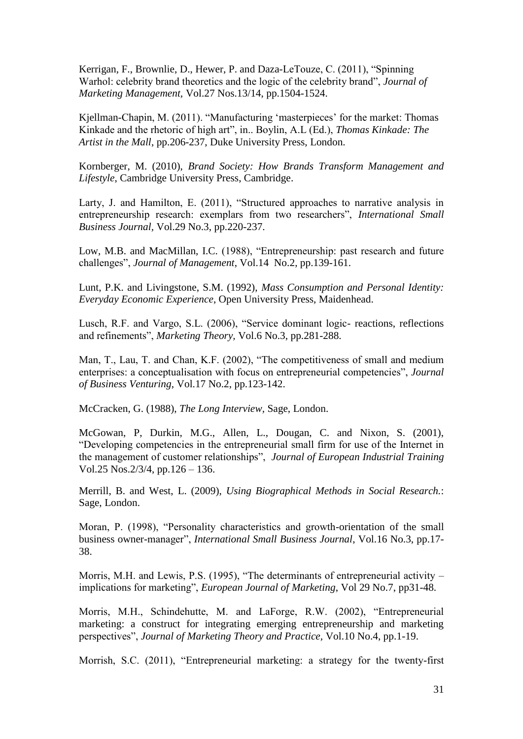Kerrigan, F., Brownlie, D., Hewer, P. and Daza-LeTouze, C. (2011), "Spinning Warhol: celebrity brand theoretics and the logic of the celebrity brand", *Journal of Marketing Management,* Vol.27 Nos.13/14, pp.1504-1524.

Kjellman-Chapin, M. (2011). "Manufacturing 'masterpieces' for the market: Thomas Kinkade and the rhetoric of high art", in.. Boylin, A.L (Ed.), *Thomas Kinkade: The Artist in the Mall*, pp.206-237, Duke University Press, London.

Kornberger, M. (2010), *Brand Society: How Brands Transform Management and Lifestyle*, Cambridge University Press, Cambridge.

Larty, J. and Hamilton, E. (2011), "Structured approaches to narrative analysis in entrepreneurship research: exemplars from two researchers", *International Small Business Journal,* Vol.29 No.3, pp.220-237.

Low, M.B. and MacMillan, I.C. (1988), "Entrepreneurship: past research and future challenges", *Journal of Management*, Vol.14 No.2, pp.139-161.

Lunt, P.K. and Livingstone, S.M. (1992), *Mass Consumption and Personal Identity: Everyday Economic Experience*, Open University Press, Maidenhead.

Lusch, R.F. and Vargo, S.L. (2006), "Service dominant logic- reactions, reflections and refinements", *Marketing Theory,* Vol.6 No.3, pp.281-288.

Man, T., Lau, T. and Chan, K.F. (2002), "The competitiveness of small and medium enterprises: a conceptualisation with focus on entrepreneurial competencies", *Journal of Business Venturing*, Vol.17 No.2, pp.123-142.

McCracken, G. (1988), *The Long Interview,* Sage, London.

McGowan, P, Durkin, M.G., Allen, L., Dougan, C. and Nixon, S. (2001), "Developing competencies in the entrepreneurial small firm for use of the Internet in the management of customer relationships", *Journal of European Industrial Training* Vol.25 Nos.2/3/4, pp.126 – 136.

Merrill, B. and West, L. (2009), *Using Biographical Methods in Social Research.*: Sage, London.

Moran, P. (1998), "Personality characteristics and growth-orientation of the small business owner-manager", *International Small Business Journal*, Vol.16 No.3, pp.17- 38.

Morris, M.H. and Lewis, P.S. (1995), "The determinants of entrepreneurial activity – implications for marketing", *European Journal of Marketing*, Vol 29 No.7, pp31-48.

Morris, M.H., Schindehutte, M. and LaForge, R.W. (2002), "Entrepreneurial marketing: a construct for integrating emerging entrepreneurship and marketing perspectives", *Journal of Marketing Theory and Practice,* Vol.10 No.4, pp.1-19.

Morrish, S.C. (2011), "Entrepreneurial marketing: a strategy for the twenty-first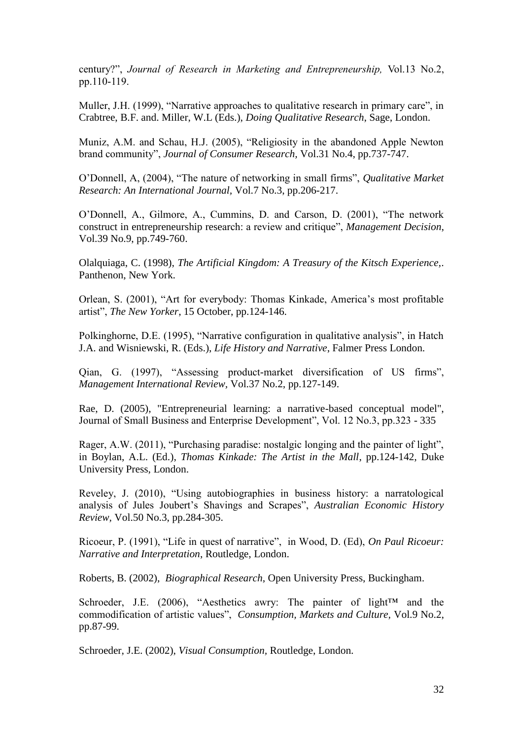century?", *Journal of Research in Marketing and Entrepreneurship,* Vol.13 No.2, pp.110-119.

Muller, J.H. (1999), "Narrative approaches to qualitative research in primary care", in Crabtree, B.F. and. Miller, W.L (Eds.), *Doing Qualitative Research*, Sage, London.

Muniz, A.M. and Schau, H.J. (2005), "Religiosity in the abandoned Apple Newton brand community", *Journal of Consumer Research,* Vol.31 No.4, pp.737-747.

O'Donnell, A, (2004), "The nature of networking in small firms", *Qualitative Market Research: An International Journal,* Vol.7 No.3, pp.206-217.

O'Donnell, A., Gilmore, A., Cummins, D. and Carson, D. (2001), "The network construct in entrepreneurship research: a review and critique", *Management Decision*, Vol.39 No.9, pp.749-760.

Olalquiaga, C. (1998), *The Artificial Kingdom: A Treasury of the Kitsch Experience,*. Panthenon, New York.

Orlean, S. (2001), "Art for everybody: Thomas Kinkade, America's most profitable artist", *The New Yorker*, 15 October, pp.124-146.

Polkinghorne, D.E. (1995), "Narrative configuration in qualitative analysis", in Hatch J.A. and Wisniewski, R. (Eds.), *Life History and Narrative*, Falmer Press London.

Qian, G. (1997), "Assessing product-market diversification of US firms", *Management International Review,* Vol.37 No.2, pp.127-149.

Rae, D. (2005), "Entrepreneurial learning: a narrative-based conceptual model", Journal of Small Business and Enterprise Development", Vol. 12 No.3, pp.323 - 335

Rager, A.W. (2011), "Purchasing paradise: nostalgic longing and the painter of light", in Boylan, A.L. (Ed.), *Thomas Kinkade: The Artist in the Mall*, pp.124-142, Duke University Press, London.

Reveley, J. (2010), "Using autobiographies in business history: a narratological analysis of Jules Joubert's Shavings and Scrapes", *Australian Economic History Review,* Vol.50 No.3, pp.284-305.

Ricoeur, P. (1991), "Life in quest of narrative", in Wood, D. (Ed), *On Paul Ricoeur: Narrative and Interpretation*, Routledge, London.

Roberts, B. (2002), *Biographical Research*, Open University Press, Buckingham.

Schroeder, J.E. (2006), "Aesthetics awry: The painter of light<sup> $TM$ </sup> and the commodification of artistic values", *Consumption, Markets and Culture,* Vol.9 No.2, pp.87-99.

Schroeder, J.E. (2002), *Visual Consumption,* Routledge, London.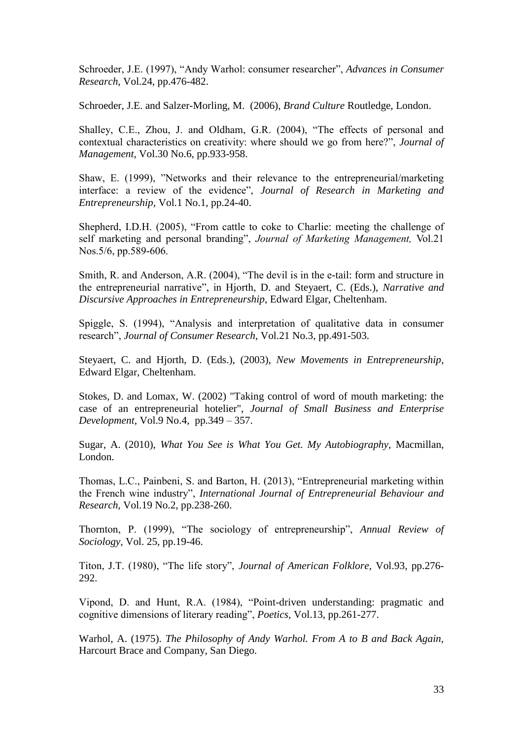Schroeder, J.E. (1997), "Andy Warhol: consumer researcher", *Advances in Consumer Research,* Vol.24, pp.476-482.

Schroeder, J.E. and Salzer-Morling, M. (2006), *Brand Culture* Routledge, London.

Shalley, C.E., Zhou, J. and Oldham, G.R. (2004), "The effects of personal and contextual characteristics on creativity: where should we go from here?", *Journal of Management*, Vol.30 No.6, pp.933-958.

Shaw, E. (1999), "Networks and their relevance to the entrepreneurial/marketing interface: a review of the evidence", *Journal of Research in Marketing and Entrepreneurship*, Vol.1 No.1, pp.24-40.

Shepherd, I.D.H. (2005), "From cattle to coke to Charlie: meeting the challenge of self marketing and personal branding", *Journal of Marketing Management,* Vol.21 Nos.5/6, pp.589-606.

Smith, R. and Anderson, A.R. (2004), "The devil is in the e-tail: form and structure in the entrepreneurial narrative", in Hjorth, D. and Steyaert, C. (Eds.), *Narrative and Discursive Approaches in Entrepreneurship*, Edward Elgar, Cheltenham.

Spiggle, S. (1994), "Analysis and interpretation of qualitative data in consumer research", *Journal of Consumer Research*, Vol.21 No.3, pp.491-503.

Steyaert, C. and Hjorth, D. (Eds.), (2003), *New Movements in Entrepreneurship*, Edward Elgar, Cheltenham.

Stokes, D. and Lomax, W. (2002) "Taking control of word of mouth marketing: the case of an entrepreneurial hotelier", *Journal of Small Business and Enterprise Development*, Vol.9 No.4, pp.349 – 357.

Sugar, A. (2010), *What You See is What You Get. My Autobiography,* Macmillan, London.

Thomas, L.C., Painbeni, S. and Barton, H. (2013), "Entrepreneurial marketing within the French wine industry", *International Journal of Entrepreneurial Behaviour and Research,* Vol.19 No.2, pp.238-260.

Thornton, P. (1999), "The sociology of entrepreneurship", *Annual Review of Sociology,* Vol. 25, pp.19-46.

Titon, J.T. (1980), "The life story", *Journal of American Folklore,* Vol.93, pp.276- 292.

Vipond, D. and Hunt, R.A. (1984), "Point-driven understanding: pragmatic and cognitive dimensions of literary reading", *Poetics,* Vol.13, pp.261-277.

Warhol, A. (1975). *The Philosophy of Andy Warhol. From A to B and Back Again,*  Harcourt Brace and Company, San Diego.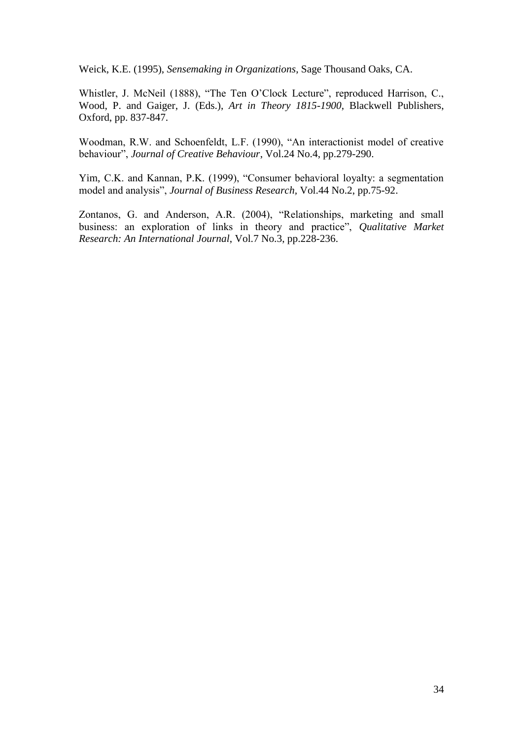Weick, K.E. (1995), *Sensemaking in Organizations*, Sage Thousand Oaks, CA.

Whistler, J. McNeil (1888), "The Ten O'Clock Lecture", reproduced Harrison, C., Wood, P. and Gaiger, J. (Eds.), *Art in Theory 1815-1900*, Blackwell Publishers, Oxford, pp. 837-847.

Woodman, R.W. and Schoenfeldt, L.F. (1990), "An interactionist model of creative behaviour", *Journal of Creative Behaviour*, Vol.24 No.4, pp.279-290.

Yim, C.K. and Kannan, P.K. (1999), "Consumer behavioral loyalty: a segmentation model and analysis", *Journal of Business Research,* Vol.44 No.2, pp.75-92.

Zontanos, G. and Anderson, A.R. (2004), "Relationships, marketing and small business: an exploration of links in theory and practice", *Qualitative Market Research: An International Journal*, Vol.7 No.3, pp.228-236.